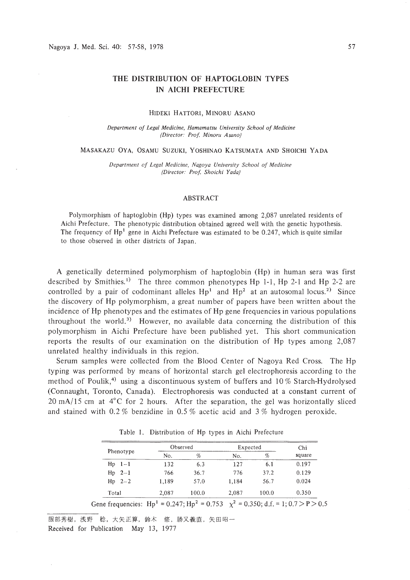# **THE DISTRIBUTION OF HAPTOGLOBIN TYPES IN AICHI PREFECTURE**

#### HIDEKI HATTORI, MINORU ASANO

*Department of Legal Medicine, Hamamatsu University School of Medicine (Director: Prof Minoru Asano)*

#### MASAKAZU OYA, OSAMU SUZUKI, YOSHINAO KATSUMATA AND SHOICHI YADA

*Department of Legal Medicine, Nagoya University School of Medicine (Director: Prof Shoichi Yada)*

### ABSTRACT

Polymorphism of haptoglobin (Hp) types was examined among 2,087 unrelated residents of Aichi Prefecture. The phenotypic distribution obtained agreed well with the genetic hypothesis. The frequency of  $Hp<sup>1</sup>$  gene in Aichi Prefecture was estimated to be 0.247, which is quite similar to those observed in other districts of Japan.

A genetically determined polymorphism of haptoglobin (Hp) in human sera was first described by Smithies. I) The three common phenotypes Hp **I-I,** Hp 2-1 and Hp 2-2 are controlled by a pair of codominant alleles  $Hp<sup>1</sup>$  and  $Hp<sup>2</sup>$  at an autosomal locus.<sup>2)</sup> Since the discovery of Hp polymorphism, a great number of papers have been written about the incidence of Hp phenotypes and the estimates of Hp gene frequencies in various populations throughout the world.<sup>3)</sup> However, no available data concerning the distribution of this polymorphism in Aichi Prefecture have been published yet. This short communication reports the results of our examination on the distribution of Hp types among 2,087 unrelated healthy individuals in this region.

Serum samples were collected from the Blood Center of Nagoya Red Cross. The Hp typing was performed by means of horizontal starch gel electrophoresis according to the method of Poulik,<sup>4)</sup> using a discontinuous system of buffers and  $10\%$  Starch-Hydrolysed (Connaught, Toronto, Canada). Electrophoresis was conducted at a constant current of  $20 \text{ mA}/15 \text{ cm}$  at  $4^{\circ}\text{C}$  for 2 hours. After the separation, the gel was horizontally sliced and stained with 0.2 % benzidine in 0.5 % acetic acid and 3 % hydrogen peroxide.

| Phenotype      | Observed |        | Expected |       | Chi    |
|----------------|----------|--------|----------|-------|--------|
|                | No.      | %      | No.      | %     | square |
| $Hp$ $1-1$     | 132      | 6.3    | 127      | 6.1   | 0.197  |
| $Hp 2-1$       | 766      | 36.7   | 776      | 37.2  | 0.129  |
| $Hp \quad 2-2$ | 1.189    | 57.0   | 1.184    | 56.7  | 0.024  |
| Total          | 2,087    | 100.0  | 2.087    | 100.0 | 0.350  |
|                |          | $\sim$ | $\sim$   |       |        |

Table 1. Distribution of Hp types in Aichi Prefecture

Gene frequencies:  $Hp^1 = 0.247$ ;  $Hp^2 = 0.753$   $\chi^2 = 0.350$ ; d.f. = 1; 0.7 > P > 0.5

服部秀樹, 浅野 稔, 大矢正算, 鈴木 修, 勝又義直, 矢田昭一 Received for Publication May 13, 1977